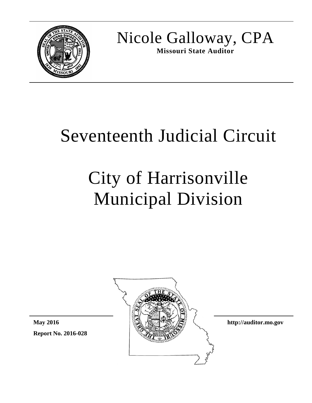

Nicole Galloway, CPA **Missouri State Auditor**

# Seventeenth Judicial Circuit

# City of Harrisonville Municipal Division



**http://auditor.mo.gov**

**May 2016**

**Report No. 2016-028**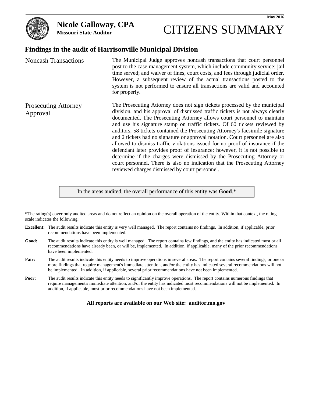

#### **Findings in the audit of Harrisonville Municipal Division**

| <b>Noncash Transactions</b>             | The Municipal Judge approves noncash transactions that court personnel<br>post to the case management system, which include community service; jail<br>time served; and waiver of fines, court costs, and fees through judicial order.<br>However, a subsequent review of the actual transactions posted to the<br>system is not performed to ensure all transactions are valid and accounted<br>for properly.                                                                                                                                                                                                                                                                                                                                                                                                                                                 |
|-----------------------------------------|----------------------------------------------------------------------------------------------------------------------------------------------------------------------------------------------------------------------------------------------------------------------------------------------------------------------------------------------------------------------------------------------------------------------------------------------------------------------------------------------------------------------------------------------------------------------------------------------------------------------------------------------------------------------------------------------------------------------------------------------------------------------------------------------------------------------------------------------------------------|
| <b>Prosecuting Attorney</b><br>Approval | The Prosecuting Attorney does not sign tickets processed by the municipal<br>division, and his approval of dismissed traffic tickets is not always clearly<br>documented. The Prosecuting Attorney allows court personnel to maintain<br>and use his signature stamp on traffic tickets. Of 60 tickets reviewed by<br>auditors, 58 tickets contained the Prosecuting Attorney's facsimile signature<br>and 2 tickets had no signature or approval notation. Court personnel are also<br>allowed to dismiss traffic violations issued for no proof of insurance if the<br>defendant later provides proof of insurance; however, it is not possible to<br>determine if the charges were dismissed by the Prosecuting Attorney or<br>court personnel. There is also no indication that the Prosecuting Attorney<br>reviewed charges dismissed by court personnel. |

In the areas audited, the overall performance of this entity was **Good**.\*

**\***The rating(s) cover only audited areas and do not reflect an opinion on the overall operation of the entity. Within that context, the rating scale indicates the following:

- **Excellent:** The audit results indicate this entity is very well managed. The report contains no findings. In addition, if applicable, prior recommendations have been implemented.
- **Good:** The audit results indicate this entity is well managed. The report contains few findings, and the entity has indicated most or all recommendations have already been, or will be, implemented. In addition, if applicable, many of the prior recommendations have been implemented.
- Fair: The audit results indicate this entity needs to improve operations in several areas. The report contains several findings, or one or more findings that require management's immediate attention, and/or the entity has indicated several recommendations will not be implemented. In addition, if applicable, several prior recommendations have not been implemented.
- **Poor:** The audit results indicate this entity needs to significantly improve operations. The report contains numerous findings that require management's immediate attention, and/or the entity has indicated most recommendations will not be implemented. In addition, if applicable, most prior recommendations have not been implemented.

#### **All reports are available on our Web site: auditor.mo.gov**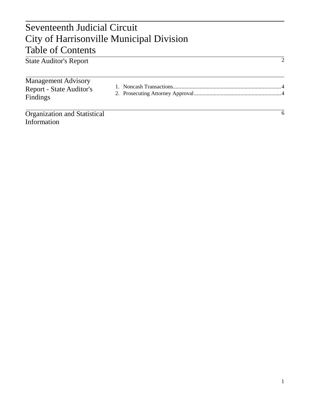## Seventeenth Judicial Circuit City of Harrisonville Municipal Division Table of Contents

### State Auditor's Report

| <b>Management Advisory</b> |  |
|----------------------------|--|
| Report - State Auditor's   |  |
|                            |  |
| Findings                   |  |
|                            |  |

Organization and Statistical Information

 $\overline{2}$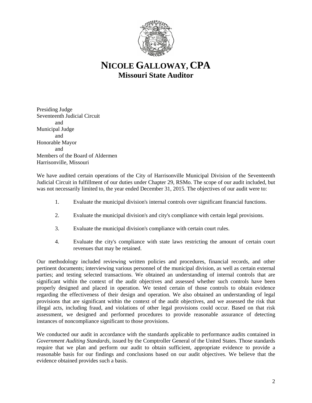

### **NICOLE GALLOWAY, CPA Missouri State Auditor**

Presiding Judge Seventeenth Judicial Circuit and Municipal Judge and Honorable Mayor and Members of the Board of Aldermen Harrisonville, Missouri

We have audited certain operations of the City of Harrisonville Municipal Division of the Seventeenth Judicial Circuit in fulfillment of our duties under Chapter 29, RSMo. The scope of our audit included, but was not necessarily limited to, the year ended December 31, 2015. The objectives of our audit were to:

- 1. Evaluate the municipal division's internal controls over significant financial functions.
- 2. Evaluate the municipal division's and city's compliance with certain legal provisions.
- 3. Evaluate the municipal division's compliance with certain court rules.
- 4. Evaluate the city's compliance with state laws restricting the amount of certain court revenues that may be retained.

Our methodology included reviewing written policies and procedures, financial records, and other pertinent documents; interviewing various personnel of the municipal division, as well as certain external parties; and testing selected transactions. We obtained an understanding of internal controls that are significant within the context of the audit objectives and assessed whether such controls have been properly designed and placed in operation. We tested certain of those controls to obtain evidence regarding the effectiveness of their design and operation. We also obtained an understanding of legal provisions that are significant within the context of the audit objectives, and we assessed the risk that illegal acts, including fraud, and violations of other legal provisions could occur. Based on that risk assessment, we designed and performed procedures to provide reasonable assurance of detecting instances of noncompliance significant to those provisions.

We conducted our audit in accordance with the standards applicable to performance audits contained in *Government Auditing Standards*, issued by the Comptroller General of the United States. Those standards require that we plan and perform our audit to obtain sufficient, appropriate evidence to provide a reasonable basis for our findings and conclusions based on our audit objectives. We believe that the evidence obtained provides such a basis.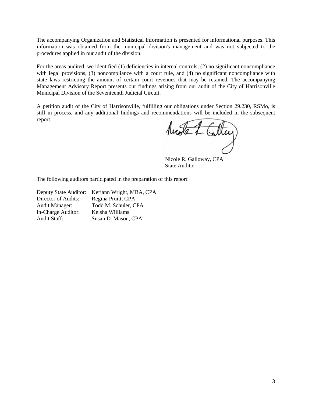The accompanying Organization and Statistical Information is presented for informational purposes. This information was obtained from the municipal division's management and was not subjected to the procedures applied in our audit of the division.

For the areas audited, we identified (1) deficiencies in internal controls, (2) no significant noncompliance with legal provisions, (3) noncompliance with a court rule, and (4) no significant noncompliance with state laws restricting the amount of certain court revenues that may be retained. The accompanying Management Advisory Report presents our findings arising from our audit of the City of Harrisonville Municipal Division of the Seventeenth Judicial Circuit.

A petition audit of the City of Harrisonville, fulfilling our obligations under Section 29.230, RSMo, is still in process, and any additional findings and recommendations will be included in the subsequent<br>report.<br> $\sqrt{\frac{1}{2} \cdot \frac{1}{2} \cdot \frac{1}{2} \cdot \frac{1}{2} \cdot \frac{1}{2} \cdot \frac{1}{2} \cdot \frac{1}{2} \cdot \frac{1}{2} \cdot \frac{1}{2} \cdot \frac{1}{2} \cdot \frac{1}{2} \cdot \frac{1}{2} \cdot \frac$ report.

Nicole R. Galloway, CPA State Auditor

The following auditors participated in the preparation of this report:

| Deputy State Auditor: | Keriann Wright, MBA, CPA |
|-----------------------|--------------------------|
| Director of Audits:   | Regina Pruitt, CPA       |
| <b>Audit Manager:</b> | Todd M. Schuler, CPA     |
| In-Charge Auditor:    | Keisha Williams          |
| <b>Audit Staff:</b>   | Susan D. Mason, CPA      |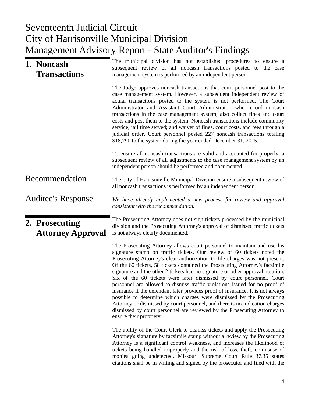#### Shown<br>Judicial Circuit City of Harrisonville Municipal Division City of Harrisonville Municipal Division Management Advisory Report - State Auditor's Findings Management Advisory Report - State Auditor's Findings Seventeenth Judicial Circuit

| 1. Noncash<br><b>Transactions</b>          | The municipal division has not established procedures to ensure a<br>subsequent review of all noncash transactions posted to the case<br>management system is performed by an independent person.<br>The Judge approves noncash transactions that court personnel post to the<br>case management system. However, a subsequent independent review of<br>actual transactions posted to the system is not performed. The Court<br>Administrator and Assistant Court Administrator, who record noncash<br>transactions in the case management system, also collect fines and court<br>costs and post them to the system. Noncash transactions include community<br>service; jail time served; and waiver of fines, court costs, and fees through a<br>judicial order. Court personnel posted 227 noncash transactions totaling<br>\$18,790 to the system during the year ended December 31, 2015.             |  |  |  |  |
|--------------------------------------------|------------------------------------------------------------------------------------------------------------------------------------------------------------------------------------------------------------------------------------------------------------------------------------------------------------------------------------------------------------------------------------------------------------------------------------------------------------------------------------------------------------------------------------------------------------------------------------------------------------------------------------------------------------------------------------------------------------------------------------------------------------------------------------------------------------------------------------------------------------------------------------------------------------|--|--|--|--|
|                                            |                                                                                                                                                                                                                                                                                                                                                                                                                                                                                                                                                                                                                                                                                                                                                                                                                                                                                                            |  |  |  |  |
|                                            | To ensure all noncash transactions are valid and accounted for properly, a<br>subsequent review of all adjustments to the case management system by an<br>independent person should be performed and documented.                                                                                                                                                                                                                                                                                                                                                                                                                                                                                                                                                                                                                                                                                           |  |  |  |  |
| Recommendation                             | The City of Harrisonville Municipal Division ensure a subsequent review of<br>all noncash transactions is performed by an independent person.                                                                                                                                                                                                                                                                                                                                                                                                                                                                                                                                                                                                                                                                                                                                                              |  |  |  |  |
| <b>Auditee's Response</b>                  | We have already implemented a new process for review and approval<br>consistent with the recommendation.                                                                                                                                                                                                                                                                                                                                                                                                                                                                                                                                                                                                                                                                                                                                                                                                   |  |  |  |  |
| 2. Prosecuting<br><b>Attorney Approval</b> | The Prosecuting Attorney does not sign tickets processed by the municipal<br>division and the Prosecuting Attorney's approval of dismissed traffic tickets<br>is not always clearly documented.                                                                                                                                                                                                                                                                                                                                                                                                                                                                                                                                                                                                                                                                                                            |  |  |  |  |
|                                            |                                                                                                                                                                                                                                                                                                                                                                                                                                                                                                                                                                                                                                                                                                                                                                                                                                                                                                            |  |  |  |  |
|                                            | The Prosecuting Attorney allows court personnel to maintain and use his<br>signature stamp on traffic tickets. Our review of 60 tickets noted the<br>Prosecuting Attorney's clear authorization to file charges was not present.<br>Of the 60 tickets, 58 tickets contained the Prosecuting Attorney's facsimile<br>signature and the other 2 tickets had no signature or other approval notation.<br>Six of the 60 tickets were later dismissed by court personnel. Court<br>personnel are allowed to dismiss traffic violations issued for no proof of<br>insurance if the defendant later provides proof of insurance. It is not always<br>possible to determine which charges were dismissed by the Prosecuting<br>Attorney or dismissed by court personnel, and there is no indication charges<br>dismissed by court personnel are reviewed by the Prosecuting Attorney to<br>ensure their propriety. |  |  |  |  |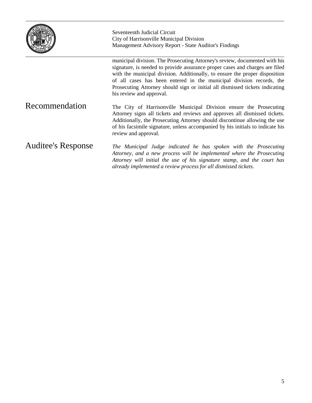|                           | Seventeenth Judicial Circuit<br>City of Harrisonville Municipal Division<br>Management Advisory Report - State Auditor's Findings                                                                                                                                                                                                                                                                                             |  |
|---------------------------|-------------------------------------------------------------------------------------------------------------------------------------------------------------------------------------------------------------------------------------------------------------------------------------------------------------------------------------------------------------------------------------------------------------------------------|--|
|                           | municipal division. The Prosecuting Attorney's review, documented with his<br>signature, is needed to provide assurance proper cases and charges are filed<br>with the municipal division. Additionally, to ensure the proper disposition<br>of all cases has been entered in the municipal division records, the<br>Prosecuting Attorney should sign or initial all dismissed tickets indicating<br>his review and approval. |  |
| Recommendation            | The City of Harrisonville Municipal Division ensure the Prosecuting<br>Attorney signs all tickets and reviews and approves all dismissed tickets.<br>Additionally, the Prosecuting Attorney should discontinue allowing the use<br>of his facsimile signature, unless accompanied by his initials to indicate his<br>review and approval.                                                                                     |  |
| <b>Auditee's Response</b> | The Municipal Judge indicated he has spoken with the Prosecuting<br>Attorney, and a new process will be implemented where the Prosecuting<br>Attorney will initial the use of his signature stamp, and the court has<br>already implemented a review process for all dismissed tickets.                                                                                                                                       |  |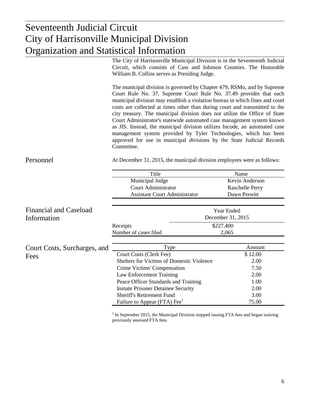#### Shown<br>Judicial Circuit City of Harrisonville Municipal Division City of Harrisonville Municipal Division Organization and Statistical Information Organization and Statistical Information Seventeenth Judicial Circuit

|                                              | The City of Harrisonville Municipal Division is in the Seventeenth Judicial<br>Circuit, which consists of Cass and Johnson Counties. The Honorable<br>William B. Collins serves as Presiding Judge.                                                                                                                                                                                                                                                                                                                                                                                                                                                                                                           |                                 |  |  |  |
|----------------------------------------------|---------------------------------------------------------------------------------------------------------------------------------------------------------------------------------------------------------------------------------------------------------------------------------------------------------------------------------------------------------------------------------------------------------------------------------------------------------------------------------------------------------------------------------------------------------------------------------------------------------------------------------------------------------------------------------------------------------------|---------------------------------|--|--|--|
|                                              | The municipal division is governed by Chapter 479, RSMo, and by Supreme<br>Court Rule No. 37. Supreme Court Rule No. 37.49 provides that each<br>municipal division may establish a violation bureau in which fines and court<br>costs are collected at times other than during court and transmitted to the<br>city treasury. The municipal division does not utilize the Office of State<br>Court Administrator's statewide automated case management system known<br>as JIS. Instead, the municipal division utilizes Incode, an automated case<br>management system provided by Tyler Technologies, which has been<br>approved for use in municipal divisions by the State Judicial Records<br>Committee. |                                 |  |  |  |
| Personnel                                    | At December 31, 2015, the municipal division employees were as follows:                                                                                                                                                                                                                                                                                                                                                                                                                                                                                                                                                                                                                                       |                                 |  |  |  |
|                                              | Title                                                                                                                                                                                                                                                                                                                                                                                                                                                                                                                                                                                                                                                                                                         | Name                            |  |  |  |
|                                              | Municipal Judge                                                                                                                                                                                                                                                                                                                                                                                                                                                                                                                                                                                                                                                                                               | Kevin Anderson                  |  |  |  |
|                                              | <b>Court Administrator</b>                                                                                                                                                                                                                                                                                                                                                                                                                                                                                                                                                                                                                                                                                    | <b>Raschelle Perry</b>          |  |  |  |
|                                              | <b>Assistant Court Administrator</b>                                                                                                                                                                                                                                                                                                                                                                                                                                                                                                                                                                                                                                                                          | Dawn Prewitt                    |  |  |  |
| <b>Financial and Caseload</b><br>Information |                                                                                                                                                                                                                                                                                                                                                                                                                                                                                                                                                                                                                                                                                                               | Year Ended<br>December 31, 2015 |  |  |  |
|                                              | Receipts                                                                                                                                                                                                                                                                                                                                                                                                                                                                                                                                                                                                                                                                                                      | \$227,400                       |  |  |  |
|                                              | Number of cases filed                                                                                                                                                                                                                                                                                                                                                                                                                                                                                                                                                                                                                                                                                         | 2,065                           |  |  |  |
|                                              | Type                                                                                                                                                                                                                                                                                                                                                                                                                                                                                                                                                                                                                                                                                                          | Amount                          |  |  |  |
| Court Costs, Surcharges, and                 | Court Costs (Clerk Fee)                                                                                                                                                                                                                                                                                                                                                                                                                                                                                                                                                                                                                                                                                       | \$12.00                         |  |  |  |
| Fees                                         | <b>Shelters for Victims of Domestic Violence</b>                                                                                                                                                                                                                                                                                                                                                                                                                                                                                                                                                                                                                                                              | 2.00                            |  |  |  |
|                                              | Crime Victims' Compensation                                                                                                                                                                                                                                                                                                                                                                                                                                                                                                                                                                                                                                                                                   | 7.50                            |  |  |  |
|                                              | Law Enforcement Training                                                                                                                                                                                                                                                                                                                                                                                                                                                                                                                                                                                                                                                                                      | 2.00                            |  |  |  |

 $1$  In September 2015, the Municipal Division stopped issuing FTA fees and began waiving previously assessed FTA fees.

Peace Officer Standards and Training 1.00 Inmate Prisoner Detainee Security 2.00 Sheriff's Retirement Fund 3.00 Failure to Appear (FTA)  $\text{Fe}^{1}$  75.00